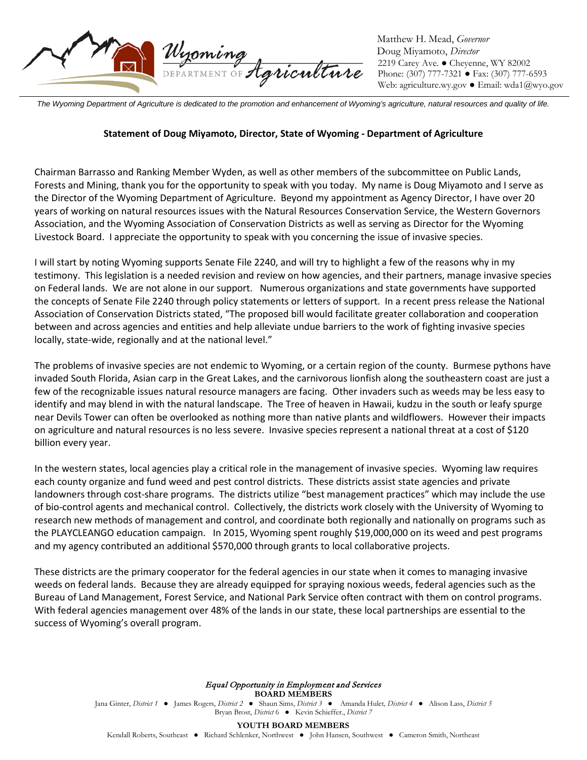

Matthew H. Mead, *Governor* Doug Miyamoto, *Director* 2219 Carey Ave. ● Cheyenne, WY 82002 Phone: (307) 777-7321 ● Fax: (307) 777-6593 Web: agriculture.wy.gov ● Email: wda1@wyo.gov

*The Wyoming Department of Agriculture is dedicated to the promotion and enhancement of Wyoming's agriculture, natural resources and quality of life.*

## **Statement of Doug Miyamoto, Director, State of Wyoming - Department of Agriculture**

Chairman Barrasso and Ranking Member Wyden, as well as other members of the subcommittee on Public Lands, Forests and Mining, thank you for the opportunity to speak with you today. My name is Doug Miyamoto and I serve as the Director of the Wyoming Department of Agriculture. Beyond my appointment as Agency Director, I have over 20 years of working on natural resources issues with the Natural Resources Conservation Service, the Western Governors Association, and the Wyoming Association of Conservation Districts as well as serving as Director for the Wyoming Livestock Board. I appreciate the opportunity to speak with you concerning the issue of invasive species.

I will start by noting Wyoming supports Senate File 2240, and will try to highlight a few of the reasons why in my testimony. This legislation is a needed revision and review on how agencies, and their partners, manage invasive species on Federal lands. We are not alone in our support. Numerous organizations and state governments have supported the concepts of Senate File 2240 through policy statements or letters of support. In a recent press release the National Association of Conservation Districts stated, "The proposed bill would facilitate greater collaboration and cooperation between and across agencies and entities and help alleviate undue barriers to the work of fighting invasive species locally, state-wide, regionally and at the national level."

The problems of invasive species are not endemic to Wyoming, or a certain region of the county. Burmese pythons have invaded South Florida, Asian carp in the Great Lakes, and the carnivorous lionfish along the southeastern coast are just a few of the recognizable issues natural resource managers are facing. Other invaders such as weeds may be less easy to identify and may blend in with the natural landscape. The Tree of heaven in Hawaii, kudzu in the south or leafy spurge near Devils Tower can often be overlooked as nothing more than native plants and wildflowers. However their impacts on agriculture and natural resources is no less severe. Invasive species represent a national threat at a cost of \$120 billion every year.

In the western states, local agencies play a critical role in the management of invasive species. Wyoming law requires each county organize and fund weed and pest control districts. These districts assist state agencies and private landowners through cost-share programs. The districts utilize "best management practices" which may include the use of bio-control agents and mechanical control. Collectively, the districts work closely with the University of Wyoming to research new methods of management and control, and coordinate both regionally and nationally on programs such as the PLAYCLEANGO education campaign. In 2015, Wyoming spent roughly \$19,000,000 on its weed and pest programs and my agency contributed an additional \$570,000 through grants to local collaborative projects.

These districts are the primary cooperator for the federal agencies in our state when it comes to managing invasive weeds on federal lands. Because they are already equipped for spraying noxious weeds, federal agencies such as the Bureau of Land Management, Forest Service, and National Park Service often contract with them on control programs. With federal agencies management over 48% of the lands in our state, these local partnerships are essential to the success of Wyoming's overall program.

> Equal Opportunity in Employment and Services **BOARD MEMBERS** Jana Ginter, *District 1* ● James Rogers, *District 2 ●* Shaun Sims, *District 3 ●* Amanda Hulet*, District 4 ●* Alison Lass, *District 5* Bryan Brost, *District* 6 ● Kevin Schieffer., *District 7*

> > **YOUTH BOARD MEMBERS**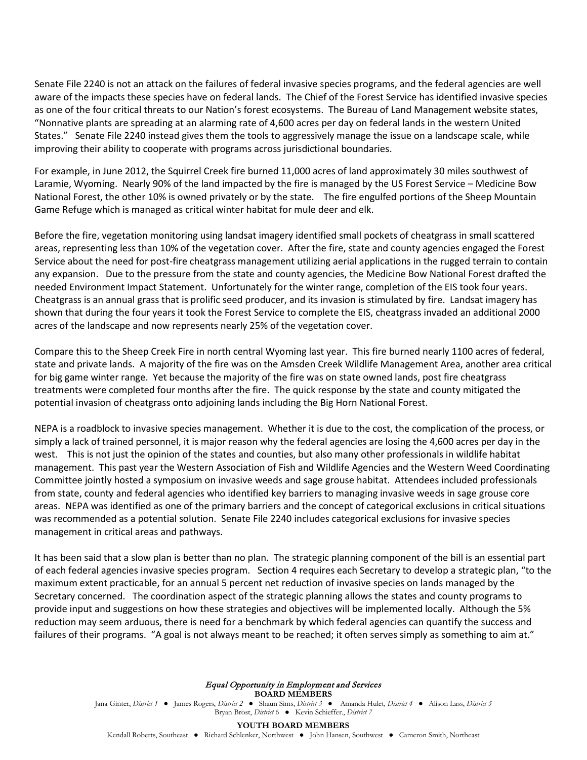Senate File 2240 is not an attack on the failures of federal invasive species programs, and the federal agencies are well aware of the impacts these species have on federal lands. The Chief of the Forest Service has identified invasive species as one of the four critical threats to our Nation's forest ecosystems. The Bureau of Land Management website states, "Nonnative plants are spreading at an alarming rate of 4,600 acres per day on federal lands in the western United States." Senate File 2240 instead gives them the tools to aggressively manage the issue on a landscape scale, while improving their ability to cooperate with programs across jurisdictional boundaries.

For example, in June 2012, the Squirrel Creek fire burned 11,000 acres of land approximately 30 miles southwest of Laramie, Wyoming. Nearly 90% of the land impacted by the fire is managed by the US Forest Service – Medicine Bow National Forest, the other 10% is owned privately or by the state. The fire engulfed portions of the Sheep Mountain Game Refuge which is managed as critical winter habitat for mule deer and elk.

Before the fire, vegetation monitoring using landsat imagery identified small pockets of cheatgrass in small scattered areas, representing less than 10% of the vegetation cover. After the fire, state and county agencies engaged the Forest Service about the need for post-fire cheatgrass management utilizing aerial applications in the rugged terrain to contain any expansion. Due to the pressure from the state and county agencies, the Medicine Bow National Forest drafted the needed Environment Impact Statement. Unfortunately for the winter range, completion of the EIS took four years. Cheatgrass is an annual grass that is prolific seed producer, and its invasion is stimulated by fire. Landsat imagery has shown that during the four years it took the Forest Service to complete the EIS, cheatgrass invaded an additional 2000 acres of the landscape and now represents nearly 25% of the vegetation cover.

Compare this to the Sheep Creek Fire in north central Wyoming last year. This fire burned nearly 1100 acres of federal, state and private lands. A majority of the fire was on the Amsden Creek Wildlife Management Area, another area critical for big game winter range. Yet because the majority of the fire was on state owned lands, post fire cheatgrass treatments were completed four months after the fire. The quick response by the state and county mitigated the potential invasion of cheatgrass onto adjoining lands including the Big Horn National Forest.

NEPA is a roadblock to invasive species management. Whether it is due to the cost, the complication of the process, or simply a lack of trained personnel, it is major reason why the federal agencies are losing the 4,600 acres per day in the west. This is not just the opinion of the states and counties, but also many other professionals in wildlife habitat management. This past year the Western Association of Fish and Wildlife Agencies and the Western Weed Coordinating Committee jointly hosted a symposium on invasive weeds and sage grouse habitat. Attendees included professionals from state, county and federal agencies who identified key barriers to managing invasive weeds in sage grouse core areas. NEPA was identified as one of the primary barriers and the concept of categorical exclusions in critical situations was recommended as a potential solution. Senate File 2240 includes categorical exclusions for invasive species management in critical areas and pathways.

It has been said that a slow plan is better than no plan. The strategic planning component of the bill is an essential part of each federal agencies invasive species program. Section 4 requires each Secretary to develop a strategic plan, "to the maximum extent practicable, for an annual 5 percent net reduction of invasive species on lands managed by the Secretary concerned. The coordination aspect of the strategic planning allows the states and county programs to provide input and suggestions on how these strategies and objectives will be implemented locally. Although the 5% reduction may seem arduous, there is need for a benchmark by which federal agencies can quantify the success and failures of their programs. "A goal is not always meant to be reached; it often serves simply as something to aim at."

> Equal Opportunity in Employment and Services **BOARD MEMBERS** Jana Ginter, *District 1* ● James Rogers, *District 2 ●* Shaun Sims, *District 3 ●* Amanda Hulet*, District 4 ●* Alison Lass, *District 5* Bryan Brost, *District* 6 ● Kevin Schieffer., *District 7*

> > **YOUTH BOARD MEMBERS**